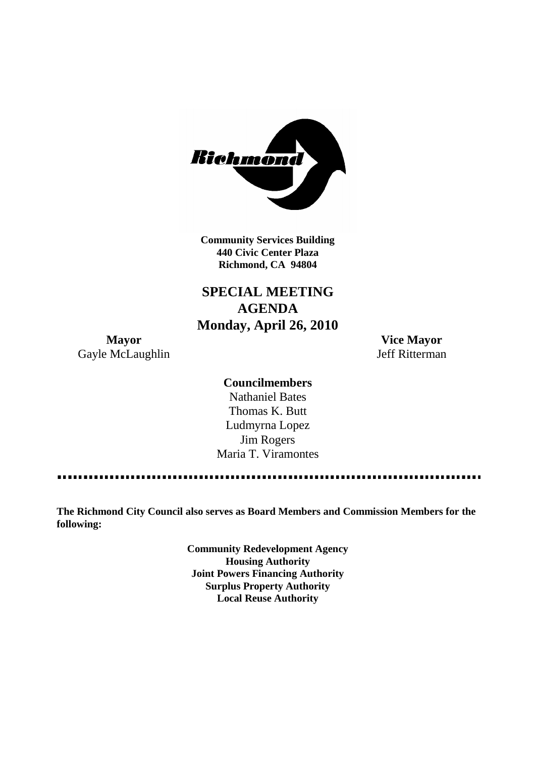

**Community Services Building 440 Civic Center Plaza Richmond, CA 94804**

# **SPECIAL MEETING AGENDA Monday, April 26, 2010**

**Mayor Vice Mayor** Gayle McLaughlin Jeff Ritterman

# **Councilmembers**

Nathaniel Bates Thomas K. Butt Ludmyrna Lopez Jim Rogers Maria T. Viramontes

**The Richmond City Council also serves as Board Members and Commission Members for the following:**

> **Community Redevelopment Agency Housing Authority Joint Powers Financing Authority Surplus Property Authority Local Reuse Authority**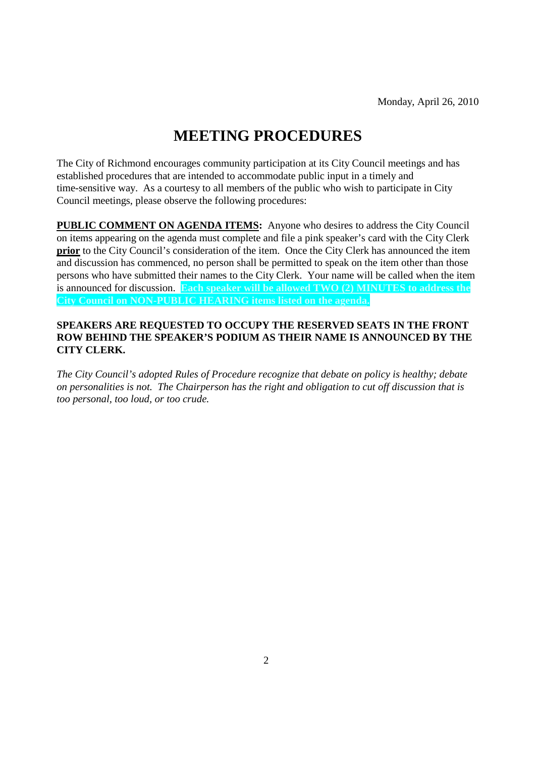# **MEETING PROCEDURES**

The City of Richmond encourages community participation at its City Council meetings and has established procedures that are intended to accommodate public input in a timely and time-sensitive way. As a courtesy to all members of the public who wish to participate in City Council meetings, please observe the following procedures:

**PUBLIC COMMENT ON AGENDA ITEMS:** Anyone who desires to address the City Council on items appearing on the agenda must complete and file a pink speaker's card with the City Clerk **prior** to the City Council's consideration of the item. Once the City Clerk has announced the item and discussion has commenced, no person shall be permitted to speak on the item other than those persons who have submitted their names to the City Clerk. Your name will be called when the item is announced for discussion. **Each speaker will be allowed TWO (2) MINUTES to address the City Council on NON-PUBLIC HEARING items listed on the agenda.**

#### **SPEAKERS ARE REQUESTED TO OCCUPY THE RESERVED SEATS IN THE FRONT ROW BEHIND THE SPEAKER'S PODIUM AS THEIR NAME IS ANNOUNCED BY THE CITY CLERK.**

*The City Council's adopted Rules of Procedure recognize that debate on policy is healthy; debate on personalities is not. The Chairperson has the right and obligation to cut off discussion that is too personal, too loud, or too crude.*